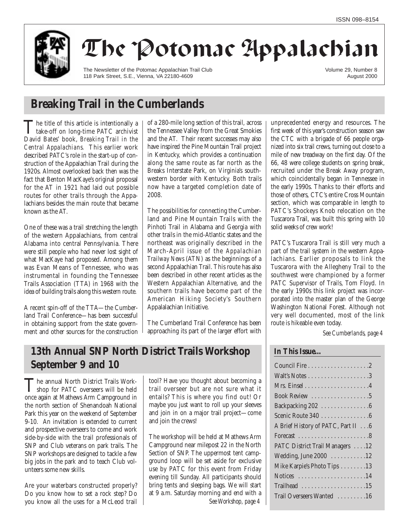

# The Potomac Appalachian

The Newsletter of the Potomac Appalachian Trail Club 118 Park Street, S.E., Vienna, VA 22180-4609

Volume 29, Number 8 August 2000

## **Breaking Trail in the Cumberlands**

The title of this article is intentionally a<br>take-off on long-time PATC archivist David Bates' book, *Breaking Trail in the Central Appalachians.* This earlier work described PATC's role in the start-up of construction of the Appalachian Trail during the 1920s. Almost overlooked back then was the fact that Benton MacKaye's original proposal for the AT in 1921 had laid out possible routes for other trails through the Appalachians besides the main route that became known as the AT.

One of these was a trail stretching the length of the western Appalachians, from central Alabama into central Pennsylvania. There were still people who had never lost sight of what MacKaye had proposed. Among them was Evan Means of Tennessee, who was instrumental in founding the Tennessee Trails Association (TTA) in 1968 with the idea of building trails along this western route.

A recent spin-off of the TTA—the Cumberland Trail Conference—has been successful in obtaining support from the state government and other sources for the construction of a 280-mile long section of this trail, across the Tennessee Valley from the Great Smokies and the AT. Their recent successes may also have inspired the Pine Mountain Trail project in Kentucky, which provides a continuation along the same route as far north as the Breaks Interstate Park, on Virginia's southwestern border with Kentucky. Both trails now have a targeted completion date of 2008.

The possibilities for connecting the Cumberland and Pine Mountain Trails with the Pinhoti Trail in Alabama and Georgia with other trails in the mid-Atlantic states and the northeast was originally described in the March-April issue of the *Appalachian Trailway News* (ATN) as the beginnings of a second Appalachian Trail. This route has also been described in other recent articles as the Western Appalachian Alternative, and the southern trails have become part of the American Hiking Society's Southern Appalalachian Initiative.

The Cumberland Trail Conference has been approaching its part of the larger effort with

**13th Annual SNP North District Trails Workshop September 9 and 10**

The annual North District Trails Work-<br>
shop for PATC overseers will be held once again at Mathews Arm Campground in the north section of Shenandoah National Park this year on the weekend of September 9-10. An invitation is extended to current and prospective overseers to come and work side-by-side with the trail professionals of SNP and Club veterans on park trails. The SNP workshops are designed to tackle a few big jobs in the park and to teach Club volunteers some new skills.

Are your waterbars constructed properly? Do you know how to set a rock step? Do you know all the uses for a McLeod trail tool? Have you thought about becoming a trail overseer but are not sure what it entails? This is where you find out! Or maybe you just want to roll up your sleeves and join in on a major trail project—come and join the crews!

The workshop will be held at Mathews Arm Campground near milepost 22 in the North Section of SNP. The uppermost tent campground loop will be set aside for exclusive use by PATC for this event from Friday evening till Sunday. All participants should bring tents and sleeping bags. We will start at 9 a.m. Saturday morning and end with a *See Workshop, page 4* unprecedented energy and resources. The first week of this year's construction season saw the CTC with a brigade of 66 people organized into six trail crews, turning out close to a mile of new treadway on the first day. Of the 66, 48 were college students on spring break, recruited under the Break Away program, which coincidentally began in Tennessee in the early 1990s. Thanks to their efforts and those of others, CTC's entire Cross Mountain section, which was comparable in length to PATC's Shockeys Knob relocation on the Tuscarora Trail, was built this spring with 10 solid weeks of crew work!

PATC's Tuscarora Trail is still very much a part of the trail system in the western Appalachians. Earlier proposals to link the Tuscarora with the Allegheny Trail to the southwest were championed by a former PATC Supervisor of Trails, Tom Floyd. In the early 1990s this link project was incorporated into the master plan of the George Washington National Forest. Although not very well documented, most of the link route is hikeable even today.

*See Cumberlands, page 4*

## **In This Issue…**

| Book Review 5                      |
|------------------------------------|
| Backpacking 202 6                  |
| Scenic Route 340 6                 |
| A Brief History of PATC, Part II 6 |
|                                    |
| PATC District Trail Managers 12    |
| Wedding, June 2000 12              |
| Mike Karpie's Photo Tips 13        |
| Notices 14                         |
| Trailhead 15                       |
| Trail Overseers Wanted 16          |
|                                    |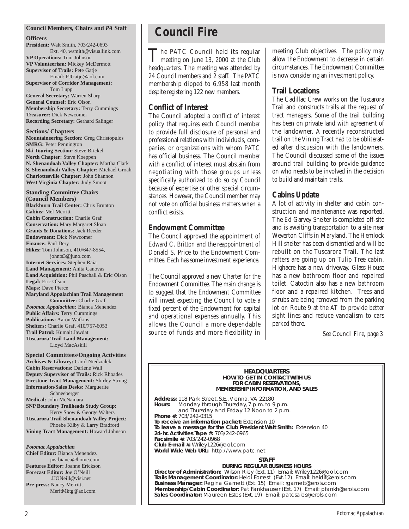#### **Council Members, Chairs and** *PA* **Staff**

#### **Officers**

**President:** Walt Smith, 703/242-0693 Ext. 40, wsmith@visuallink.com **VP Operations:** Tom Johnson **VP Volunteerism:** Mickey McDermott **Supervisor of Trails:** Pete Gatje Email: PJGatje@aol.com **Supervisor of Corridor Management:**

Tom Lupp **General Secretary:** Warren Sharp **General Counsel:** Eric Olson **Membership Secretary:** Terry Cummings **Treasurer:** Dick Newcomer **Recording Secretary:** Gerhard Salinger

**Sections/ Chapters Mountaineering Section:** Greg Christopulos **SMRG:** Peter Pennington **Ski Touring Section:** Steve Brickel **North Chapter:** Steve Koeppen **N. Shenandoah Valley Chapter:** Martha Clark **S. Shenandoah Valley Chapter:** Michael Groah **Charlottesville Chapter:** John Shannon **West Virginia Chapter:** Judy Smoot

**Standing Committee Chairs (Council Members) Blackburn Trail Center:** Chris Brunton **Cabins:** Mel Merritt **Cabin Construction:** Charlie Graf **Conservation:** Mary Margaret Sloan **Grants & Donations:** Jack Reeder **Endowment:** Dick Newcomer **Finance:** Paul Dery **Hikes:** Tom Johnson, 410/647-8554, johnts3@juno.com **Internet Services:** Stephen Raia **Land Management:** Anita Canovas **Land Acquisition:** Phil Paschall & Eric Olson **Legal:** Eric Olson **Maps:** Dave Pierce **Maryland Appalachian Trail Management Committee:** Charlie Graf *Potomac Appalachian:* Bianca Menendez **Public Affairs:** Terry Cummings **Publications:** Aaron Watkins **Shelters:** Charlie Graf, 410/757-6053

Lloyd MacAskill **Special Committees/Ongoing Activities Archives & Library:** Carol Niedzialek **Cabin Reservations:** Darlene Wall **Deputy Supervisor of Trails:** Rick Rhoades **Firestone Tract Management:** Shirley Strong **Information/Sales Desks:** Marguerite Schneeberger **Medical:** John McNamara **SNP Boundary Trailheads Study Group:** Kerry Snow & George Walters **Tuscarora Trail Shenandoah Valley Project:**  Phoebe Kilby & Larry Bradford **Vining Tract Management:** Howard Johnson

**Trail Patrol:** Kumait Jawdat **Tuscarora Trail Land Management:** 

*Potomac Appalachian* **Chief Editor:** Bianca Menendez jns-bianca@home.com **Features Editor:** Joanne Erickson **Forecast Editor:** Joe O'Neill JJONeill@visi.net **Pre-press:** Nancy Merritt, MeritMktg@aol.com

## **Council Fire**

The PATC Council held its regular<br>meeting on June 13, 2000 at the Club<br>meeting on June 13, 2000 at the Club headquarters. The meeting was attended by 24 Council members and 2 staff. The PATC membership dipped to 6,958 last month despite registering 122 new members.

## **Conflict of Interest**

The Council adopted a conflict of interest policy that requires each Council member to provide full disclosure of personal and professional relations with individuals, companies, or organizations with whom PATC has official business. The Council member with a conflict of interest must abstain from negotiating with those groups unless specifically authorized to do so by Council because of expertise or other special circumstances. However, the Council member may not vote on official business matters when a conflict exists.

## **Endowment Committee**

The Council approved the appointment of Edward C. Britton and the reappointment of Donald S. Price to the Endowment Committee. Each has some investment experience.

The Council approved a new Charter for the Endowment Committee. The main change is to suggest that the Endowment Committee will invest expecting the Council to vote a fixed percent of the Endowment for capital and operational expenses annually. This allows the Council a more dependable source of funds and more flexibility in meeting Club objectives. The policy may allow the Endowment to decrease in certain circumstances. The Endowment Committee is now considering an investment policy.

## **Trail Locations**

The Cadillac Crew works on the Tuscarora Trail and constructs trails at the request of tract managers. Some of the trail building has been on private land with agreement of the landowner. A recently reconstructed trail on the Vining Tract had to be obliterated after discussion with the landowners. The Council discussed some of the issues around trail building to provide guidance on who needs to be involved in the decision to build and maintain trails.

## **Cabins Update**

A lot of activity in shelter and cabin construction and maintenance was reported. The Ed Garvey Shelter is completed off-site and is awaiting transportation to a site near Weverton Cliffs in Maryland. The Hemlock Hill shelter has been dismantled and will be rebuilt on the Tuscarora Trail. The last rafters are going up on Tulip Tree cabin. Highacre has a new driveway. Glass House has a new bathroom floor and repaired toilet. Catoctin also has a new bathroom floor and a repaired kitchen. Trees and shrubs are being removed from the parking lot on Route 9 at the AT to provide better sight lines and reduce vandalism to cars parked there.

*See Council Fire, page 3*

#### **HEADQUARTERS HOW TO GET IN CONTACT WITH US FOR CABIN RESERVATIONS, MEMBERSHIP INFORMATION, AND SALES**

**Address:** 118 Park Street, S.E., Vienna, VA 22180 **Hours:** Monday through Thursday, 7 p.m. to 9 p.m. and Thursday and Friday 12 Noon to 2 p.m. **Phone #:** 703/242-0315 **To receive an information packet:** Extension 10 **To leave a message for the Club President Walt Smith:** Extension 40 **24-hr. Activities Tape #:** 703/242-0965 **Facsimile #:** 703/242-0968 **Club E-mail #:** Wriley1226@aol.com **World Wide Web URL:** http://www.patc.net

#### **STAFF**

#### **DURING REGULAR BUSINESS HOURS**

**Director of Administration:** Wilson Riley (Ext. 11) Email: Wriley1226@aol.com **Trails Management Coordinator:** Heidi Forrest (Ext.12) Email: heidif@erols.com **Business Manager:** Regina Garnett (Ext. 15) Email: rgarnett@erols.com **Membership/Cabin Coordinator:** Pat Fankhauser (Ext. 17) Email: pfankh@erols.com **Sales Coordinator:** Maureen Estes (Ext. 19) Email: patcsales@erols.com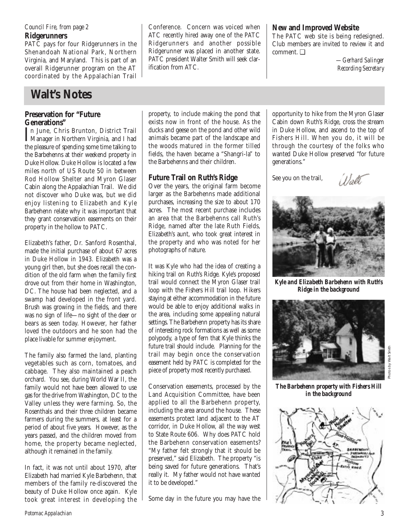**Ridgerunners** *Council Fire, from page 2*

PATC pays for four Ridgerunners in the Shenandoah National Park, Northern Virginia, and Maryland. This is part of an overall Ridgerunner program on the AT coordinated by the Appalachian Trail

## **Walt's Notes**

### **Preservation for "Future Generations"**

In June, Chris Brunton, District Trail<br>Manager in Northern Virginia, and I had Manager in Northern Virginia, and I had the pleasure of spending some time talking to the Barbehenns at their weekend property in Duke Hollow. Duke Hollow is located a few miles north of US Route 50 in between Rod Hollow Shelter and Myron Glaser Cabin along the Appalachian Trail. We did not discover who Duke was, but we did enjoy listening to Elizabeth and Kyle Barbehenn relate why it was important that they grant conservation easements on their property in the hollow to PATC.

Elizabeth's father, Dr. Sanford Rosenthal, made the initial purchase of about 67 acres in Duke Hollow in 1943. Elizabeth was a young girl then, but she does recall the condition of the old farm when the family first drove out from their home in Washington, DC. The house had been neglected, and a swamp had developed in the front yard. Brush was growing in the fields, and there was no sign of life—no sight of the deer or bears as seen today. However, her father loved the outdoors and he soon had the place livable for summer enjoyment.

The family also farmed the land, planting vegetables such as corn, tomatoes, and cabbage. They also maintained a peach orchard. You see, during World War II, the family would not have been allowed to use gas for the drive from Washington, DC to the Valley unless they were farming. So, the Rosenthals and their three children became farmers during the summers, at least for a period of about five years. However, as the years passed, and the children moved from home, the property became neglected, although it remained in the family.

In fact, it was not until about 1970, after Elizabeth had married Kyle Barbehenn, that members of the family re-discovered the beauty of Duke Hollow once again. Kyle took great interest in developing the Conference. Concern was voiced when ATC recently hired away one of the PATC Ridgerunners and another possible Ridgerunner was placed in another state. PATC president Walter Smith will seek clarification from ATC.

## **New and Improved Website**

The PATC web site is being redesigned. Club members are invited to review it and comment. ❑

*—Gerhard Salinger Recording Secretary*

property, to include making the pond that exists now in front of the house. As the ducks and geese on the pond and other wild animals became part of the landscape and the woods matured in the former tilled fields, the haven became a "Shangri-la" to the Barbehenns and their children.

## **Future Trail on Ruth's Ridge**

Over the years, the original farm become larger as the Barbehenns made additional purchases, increasing the size to about 170 acres. The most recent purchase includes an area that the Barbehenns call Ruth's Ridge, named after the late Ruth Fields, Elizabeth's aunt, who took great interest in the property and who was noted for her photographs of nature.

It was Kyle who had the idea of creating a hiking trail on Ruth's Ridge. Kyle's proposed trail would connect the Myron Glaser trail loop with the Fishers Hill trail loop. Hikers staying at either accommodation in the future would be able to enjoy additional walks in the area, including some appealing natural settings. The Barbehenn property has its share of interesting rock formations as well as some polypody, a type of fern that Kyle thinks the future trail should include. Planning for the trail may begin once the conservation easement held by PATC is completed for the piece of property most recently purchased.

Conservation easements, processed by the Land Acquisition Committee, have been applied to all the Barbehenn property, including the area around the house. These easements protect land adjacent to the AT corridor, in Duke Hollow, all the way west to State Route 606. Why does PATC hold the Barbehenn conservation easements? "My father felt strongly that it should be preserved," said Elizabeth. The property "is being saved for future generations. That's really it. My father would not have wanted it to be developed."

Some day in the future you may have the

opportunity to hike from the Myron Glaser Cabin down Ruth's Ridge, cross the stream in Duke Hollow, and ascend to the top of Fishers Hill. When you do, it will be through the courtesy of the folks who wanted Duke Hollow preserved "for future generations."

See you on the trail,

Woll



*Kyle and Elizabeth Barbehenn with Ruth's Ridge in the background*



Photos by Walt Smith

*The Barbehenn property with Fishers Hill in the background*

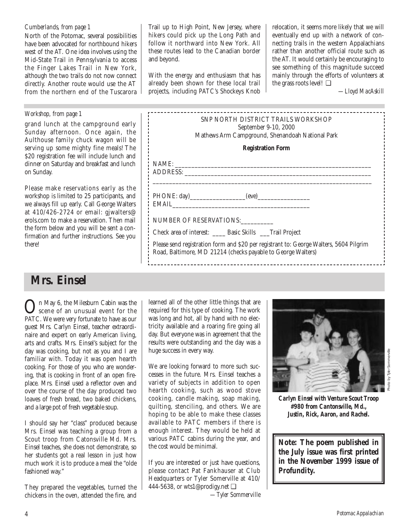### *Cumberlands, from page 1*

North of the Potomac, several possibilities have been advocated for northbound hikers west of the AT. One idea involves using the Mid-State Trail in Pennsylvania to access the Finger Lakes Trail in New York, although the two trails do not now connect directly. Another route would use the AT from the northern end of the Tuscarora

## **Mrs. Einsel**

**On** May 6, the Milesburn Cabin was the<br>scene of an unusual event for the<br>DATC We was unusual to have a sum PATC. We were very fortunate to have as our guest Mrs. Carlyn Einsel, teacher extraordinaire and expert on early American living, arts and crafts. Mrs. Einsel's subject for the day was cooking, but not as you and I are familiar with. Today it was open hearth cooking. For those of you who are wondering, that is cooking in front of an open fireplace. Mrs. Einsel used a reflector oven and over the course of the day produced two loaves of fresh bread, two baked chickens, and a large pot of fresh vegetable soup.

I should say her "class" produced because Mrs. Einsel was teaching a group from a Scout troop from Catonsville Md. Mrs. Einsel teaches, she does not demonstrate, so her students got a real lesson in just how much work it is to produce a meal the "olde fashioned way."

They prepared the vegetables, turned the chickens in the oven, attended the fire, and

Trail up to High Point, New Jersey, where hikers could pick up the Long Path and follow it northward into New York. All these routes lead to the Canadian border and beyond.

With the energy and enthusiasm that has already been shown for these local trail projects, including PATC's Shockeys Knob relocation, it seems more likely that we will eventually end up with a network of connecting trails in the western Appalachians rather than another official route such as the AT. It would certainly be encouraging to see something of this magnitude succeed mainly through the efforts of volunteers at the grass roots level! ❑

*—Lloyd MacAskill*

| Workshop, from page 1<br>grand lunch at the campground early<br>Sunday afternoon. Once again, the<br>Aulthouse family chuck wagon will be<br>serving up some mighty fine meals! The<br>\$20 registration fee will include lunch and<br>dinner on Saturday and breakfast and lunch                                                               | SNP NORTH DISTRICT TRAILS WORKSHOP<br>September 9-10, 2000<br>Mathews Arm Campground, Shenandoah National Park<br><b>Registration Form</b><br>NAME:<br>ADDRESS:                                                                                                                                |
|-------------------------------------------------------------------------------------------------------------------------------------------------------------------------------------------------------------------------------------------------------------------------------------------------------------------------------------------------|------------------------------------------------------------------------------------------------------------------------------------------------------------------------------------------------------------------------------------------------------------------------------------------------|
| on Sunday.<br>Please make reservations early as the<br>workshop is limited to 25 participants, and<br>we always fill up early. Call George Walters<br>at 410/426-2724 or email: gjwalters@<br>erols.com to make a reservation. Then mail<br>the form below and you will be sent a con-<br>firmation and further instructions. See you<br>there! | EMAIL <b>EXECUTE AND SERVICE SERVICE</b><br>NUMBER OF RESERVATIONS:<br>Check area of interest: ______ Basic Skills ____Trail Project<br>Please send registration form and \$20 per registrant to: George Walters, 5604 Pilgrim<br>Road, Baltimore, MD 21214 (checks payable to George Walters) |

learned all of the other little things that are required for this type of cooking. The work was long and hot, all by hand with no electricity available and a roaring fire going all day. But everyone was in agreement that the results were outstanding and the day was a huge success in every way.

We are looking forward to more such successes in the future. Mrs. Einsel teaches a variety of subjects in addition to open hearth cooking, such as wood stove cooking, candle making, soap making, quilting, stenciling, and others. We are hoping to be able to make these classes available to PATC members if there is enough interest. They would be held at various PATC cabins during the year, and the cost would be minimal.

If you are interested or just have questions, please contact Pat Fankhauser at Club Headquarters or Tyler Somerville at 410/ 444-5638, or wts1@prodigy.net ❑ *—Tyler Sommerville*



*Carlyn Einsel with Venture Scout Troop #980 from Cantonsville, Md., Justin, Rick, Aaron, and Rachel.*

**Note: The poem published in the July issue was first printed in the November 1999 issue of** *Profundity.*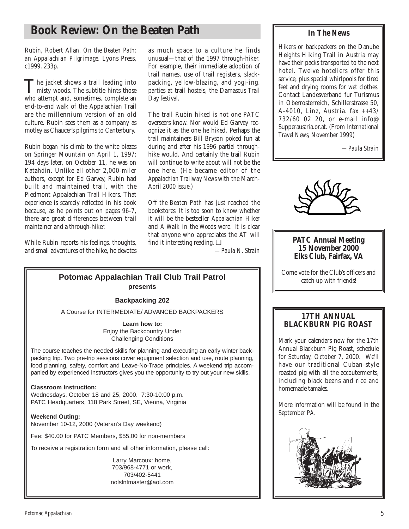## **Book Review: On the Beaten Path**

Rubin, Robert Allan. *On the Beaten Path: an Appalachian Pilgrimage.* Lyons Press, c1999. 233p.

The jacket shows a trail leading into<br>misty woods. The subtitle hints those who attempt and, sometimes, complete an end-to-end walk of the Appalachian Trail are the millennium version of an old culture. Rubin sees them as a company as motley as Chaucer's pilgrims to Canterbury.

Rubin began his climb to the white blazes on Springer Mountain on April 1, 1997; 194 days later, on October 11, he was on Katahdin. Unlike all other 2,000-miler authors, except for Ed Garvey, Rubin had built and maintained trail, with the Piedmont Appalachian Trail Hikers. That experience is scarcely reflected in his book because, as he points out on pages 96-7, there are great differences between trail maintainer and a through-hiker.

While Rubin reports his feelings, thoughts, and small adventures of the hike, he devotes

as much space to a culture he finds unusual—that of the 1997 through-hiker. For example, their immediate adoption of trail names, use of trail registers, slackpacking, yellow-blazing, and yogi-ing. parties at trail hostels, the Damascus Trail Day festival.

The trail Rubin hiked is not one PATC overseers know. Nor would Ed Garvey recognize it as the one he hiked. Perhaps the trail maintainers Bill Bryson poked fun at during and after his 1996 partial throughhike would. And certainly the trail Rubin will continue to write about will not be the one here. (He became editor of the *Appalachian Trailway News* with the March-April 2000 issue.)

*Off the Beaten Path* has just reached the bookstores. It is too soon to know whether it will be the bestseller *Appalachian Hiker* and *A Walk in the Woods* were. It is clear that anyone who appreciates the AT will find it interesting reading. ❑

*—Paula N. Strain*

## **Potomac Appalachian Trail Club Trail Patrol presents**

### **Backpacking 202**

A Course for INTERMEDIATE/ ADVANCED BACKPACKERS

**Learn how to:** Enjoy the Backcountry Under Challenging Conditions

The course teaches the needed skills for planning and executing an early winter backpacking trip. Two pre-trip sessions cover equipment selection and use, route planning, food planning, safety, comfort and Leave-No-Trace principles. A weekend trip accompanied by experienced instructors gives you the opportunity to try out your new skills.

### **Classroom Instruction:**

Wednesdays, October 18 and 25, 2000. 7:30-10:00 p.m. PATC Headquarters, 118 Park Street, SE, Vienna, Virginia

**Weekend Outing:** November 10-12, 2000 (Veteran's Day weekend)

Fee: \$40.00 for PATC Members, \$55.00 for non-members

To receive a registration form and all other information, please call:

Larry Marcoux: home, 703/968-4771 or work, 703/402-5441 nolslntmaster@aol.com

## **In The News**

Hikers or backpackers on the Danube Heights Hiking Trail in Austria may have their packs transported to the next hotel. Twelve hoteliers offer this service, plus special whirlpools for tired feet and drying rooms for wet clothes. Contact Landesverband fur Turismus in Oberrosterreich, Schillerstrasse 50, A-4010, Linz, Austria. fax ++43/ 732/60 02 20, or e-mail info@ Supperaustria.or.at. (From *International Travel News,* November 1999)

*—Paula Strain*



### **PATC Annual Meeting 15 November 2000 Elks Club, Fairfax, VA**

Come vote for the Club's officers and catch up with friends!

## **17TH ANNUAL BLACKBURN PIG ROAST**

Mark your calendars now for the 17th Annual Blackburn Pig Roast, schedule for Saturday, October 7, 2000. We'll have our traditional Cuban-style roasted pig with all the accouterments, including black beans and rice and homemade tamales.

More information will be found in the September *PA.*

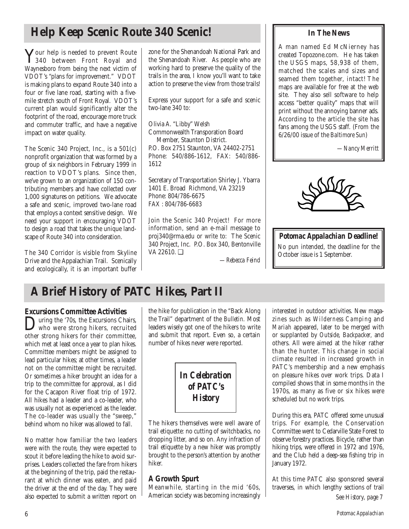## **Help Keep Scenic Route 340 Scenic!**

Your help is needed to prevent Route 340 between Front Royal and Waynesboro from being the next victim of VDOT's "plans for improvement." VDOT is making plans to expand Route 340 into a four or five lane road, starting with a fivemile stretch south of Front Royal. VDOT's current plan would significantly alter the footprint of the road, encourage more truck and commuter traffic, and have a negative impact on water quality.

The Scenic 340 Project, Inc., is a 501(c) nonprofit organization that was formed by a group of six neighbors in February 1999 in reaction to VDOT's plans. Since then, we've grown to an organization of 150 contributing members and have collected over 1,000 signatures on petitions. We advocate a safe and scenic, improved two-lane road that employs a context sensitive design. We need your support in encouraging VDOT to design a road that takes the unique landscape of Route 340 into consideration.

The 340 Corridor is visible from Skyline Drive and the Appalachian Trail. Scenically and ecologically, it is an important buffer zone for the Shenandoah National Park and the Shenandoah River. As people who are working hard to preserve the quality of the trails in the area, I know you'll want to take action to preserve the view from those trails!

Express your support for a safe and scenic two-lane 340 to:

Olivia A. "Libby" Welsh Commonwealth Transporation Board Member, Staunton District. P.O. Box 2751 Staunton, VA 24402-2751 Phone: 540/886-1612, FAX: 540/886- 1612

Secretary of Transportation Shirley J. Ybarra 1401 E. Broad Richmond, VA 23219 Phone: 804/786-6675 FAX : 804/786-6683

Join the Scenic 340 Project! For more information, send an e-mail message to proj340@rma.edu or write to: The Scenic 340 Project, Inc. P.O. Box 340, Bentonville VA 22610. ❑

*—Rebecca Feind*

## **In The News**

A man named Ed McNierney has created Topozone.com. He has taken the USGS maps, 58,938 of them, matched the scales and sizes and seamed them together, intact! The maps are available for free at the web site. They also sell software to help access "better quality" maps that will print without the annoying banner ads. According to the article the site has fans among the USGS staff. (From the 6/26/00 issue of the *Baltimore Sun*)

*—Nancy Merritt*



*Potomac Appalachian* **Deadline!** No pun intended, the deadline for the October issue is 1 September.

## **A Brief History of PATC Hikes, Part II**

**Excursions Committee Activities**<br>
Twing the '70s, the Excursions Chairs, **D**uring the '70s, the Excursions Chairs,<br>who were strong hikers, recruited<br>the strong hilter for their committee other strong hikers for their committee, which met at least once a year to plan hikes. Committee members might be assigned to lead particular hikes; at other times, a leader not on the committee might be recruited. Or sometimes a hiker brought an idea for a trip to the committee for approval, as I did for the Cacapon River float trip of 1972. All hikes had a leader and a co-leader, who was usually not as experienced as the leader. The co-leader was usually the "sweep," behind whom no hiker was allowed to fall.

No matter how familiar the two leaders were with the route, they were expected to scout it before leading the hike to avoid surprises. Leaders collected the fare from hikers at the beginning of the trip, paid the restaurant at which dinner was eaten, and paid the driver at the end of the day. They were also expected to submit a written report on

the hike for publication in the "Back Along the Trail" department of the *Bulletin.* Most leaders wisely got one of the hikers to write and submit that report. Even so, a certain number of hikes never were reported.

*In Celebration of PATC's History*

The hikers themselves were well aware of trail etiquette: no cutting of switchbacks, no dropping litter, and so on. Any infraction of trail etiquette by a new hiker was promptly brought to the person's attention by another hiker.

## **A Growth Spurt**

Meanwhile, starting in the mid '60s, American society was becoming increasingly interested in outdoor activities. New magazines such as *Wilderness Camping* and *Mariah* appeared, later to be merged with or supplanted by *Outside, Backpacker,* and others. All were aimed at the hiker rather than the hunter. This change in social climate resulted in increased growth in PATC's membership and a new emphasis on pleasure hikes over work trips. Data I compiled shows that in some months in the 1970s, as many as five or six hikes were scheduled but no work trips.

During this era, PATC offered some unusual trips. For example, the Conservation Committee went to Cedarville State Forest to observe forestry practices. Bicycle, rather than hiking trips, were offered in 1972 and 1976, and the Club held a deep-sea fishing trip in January 1972.

At this time PATC also sponsored several traverses, in which lengthy sections of trail *See History, page 7*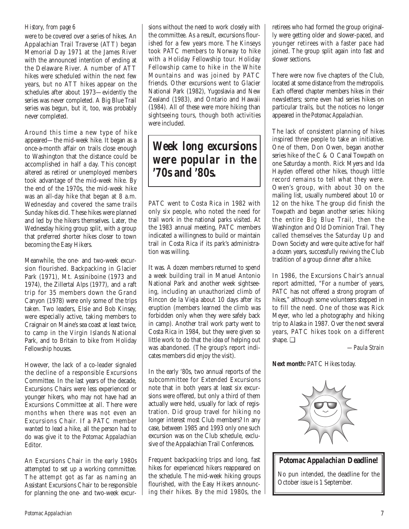### *History, from page 6*

were to be covered over a series of hikes. An Appalachian Trail Traverse (ATT) began Memorial Day 1971 at the James River with the announced intention of ending at the Delaware River. A number of ATT hikes were scheduled within the next few years, but no ATT hikes appear on the schedules after about 1973—evidently the series was never completed. A Big Blue Trail series was begun, but it, too, was probably never completed.

Around this time a new type of hike appeared—the mid-week hike. It began as a once-a-month affair on trails close enough to Washington that the distance could be accomplished in half a day. This concept altered as retired or unemployed members took advantage of the mid-week hike. By the end of the 1970s, the mid-week hike was an all-day hike that began at 8 a.m. Wednesday and covered the same trails Sunday hikes did. These hikes were planned and led by the hikers themselves. Later, the Wednesday hiking group split, with a group that preferred shorter hikes closer to town becoming the Easy Hikers.

Meanwhile, the one- and two-week excursion flourished. Backpacking in Glacier Park (1971), Mt. Assiniboine (1973 and 1974), the Zillertal Alps (1977), and a raft trip for 35 members down the Grand Canyon (1978) were only some of the trips taken. Two leaders, Elsie and Bob Kinsey, were especially active, taking members to Craignair on Maine's sea coast at least twice, to camp in the Virgin Islands National Park, and to Britain to bike from Holiday Fellowship houses.

However, the lack of a co-leader signaled the decline of a responsible Excursions Committee. In the last years of the decade, Excursions Chairs were less experienced or younger hikers, who may not have had an Excursions Committee at all. There were months when there was not even an Excursions Chair. If a PATC member wanted to lead a hike, all the person had to do was give it to the *Potomac Appalachian* Editor.

An Excursions Chair in the early 1980s attempted to set up a working committee. The attempt got as far as naming an Assistant Excursions Chair to be responsible for planning the one- and two-week excursions without the need to work closely with the committee. As a result, excursions flourished for a few years more. The Kinseys took PATC members to Norway to hike with a Holiday Fellowship tour. Holiday Fellowship came to hike in the White Mountains and was joined by PATC friends. Other excursions went to Glacier National Park (1982), Yugoslavia and New Zealand (1983), and Ontario and Hawaii (1984). All of these were more hiking than sightseeing tours, though both activities were included.

## *Week long excursions were popular in the '70s and '80s.*

PATC went to Costa Rica in 1982 with only six people, who noted the need for trail work in the national parks visited. At the 1983 annual meeting, PATC members indicated a willingness to build or maintain trail in Costa Rica if its park's administration was willing.

It was. A dozen members returned to spend a week building trail in Manuel Antonio National Park and another week sightseeing, including an unauthorized climb of Rincon de la Vieja about 10 days after its eruption (members learned the climb was forbidden only when they were safely back in camp). Another trail work party went to Costa Rica in 1984, but they were given so little work to do that the idea of helping out was abandoned. (The group's report indicates members did enjoy the visit).

In the early '80s, two annual reports of the subcommittee for Extended Excursions note that in both years at least six excursions were offered, but only a third of them actually were held, usually for lack of registration. Did group travel for hiking no longer interest most Club members? In any case, between 1985 and 1993 only one such excursion was on the Club schedule, exclusive of the Appalachian Trail Conferences.

Frequent backpacking trips and long, fast hikes for experienced hikers reappeared on the schedule. The mid-week hiking groups flourished, with the Easy Hikers announcing their hikes. By the mid 1980s, the

retirees who had formed the group originally were getting older and slower-paced, and younger retirees with a faster pace had joined. The group split again into fast and slower sections.

There were now five chapters of the Club, located at some distance from the metropolis. Each offered chapter members hikes in their newsletters; some even had series hikes on particular trails, but the notices no longer appeared in the *Potomac Appalachian.* 

The lack of consistent planning of hikes inspired three people to take an initiative. One of them, Don Owen, began another series hike of the C & O Canal Towpath on one Saturday a month. Rick Myers and Ida Hayden offered other hikes, though little record remains to tell what they were. Owen's group, with about 30 on the mailing list, usually numbered about 10 or 12 on the hike. The group did finish the Towpath and began another series: hiking the entire Big Blue Trail, then the Washington and Old Dominion Trail. They called themselves the Saturday Up and Down Society and were quite active for half a dozen years, successfully reviving the Club tradition of a group dinner after a hike.

In 1986, the Excursions Chair's annual report admitted, "For a number of years, PATC has not offered a strong program of hikes," although some volunteers stepped in to fill the need. One of those was Rick Meyer, who led a photography and hiking trip to Alaska in 1987. Over the next several years, PATC hikes took on a different shape. ❑

*—Paula Strain*

**Next month:** PATC Hikes today.



*Potomac Appalachian* **Deadline!**

No pun intended, the deadline for the October issue is 1 September.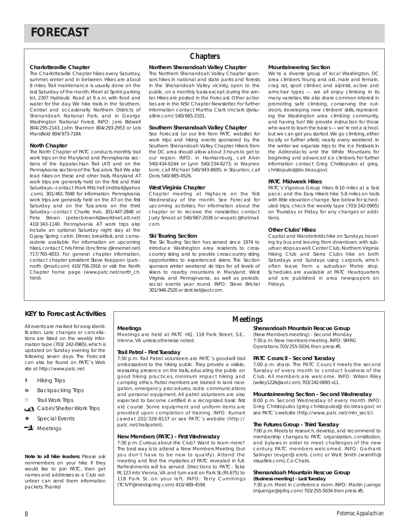#### **Charlottesville Chapter**

The Charlottesville Chapter hikes every Saturday, summer, winter and in between. Hikes are about 8 miles. Trail maintenance is usually done on the last Saturday of the month.Meet at Sprint parking lot, 2307 Hydraulic Road at 9 a.m. with food and water for the day. We hike trails in the Southern, Central and occasionally Northern Districts of Shenandoah National Park, and in George Washington National Forest. INFO: Jere Bidwell 804/295-2143, John Shannon 804/293-2953 or Lois Mansfield 804/973-7184.

#### **North Chapter**

The North Chapter of PATC conducts monthly trail work trips on the Maryland and Pennsylvania sections of the Appalachian Trail (AT) and on the Pennsylvania sections of the Tuscarora Trail.We also lead hikes on these and other trails. Maryland AT work trips are generally held on the first and third Saturdays—contact Mark Mitchell (mdtrail@yahoo .com), 301/461-7048 for information. Pennsylvania work trips are generally held on the AT on the first Saturday and on the Tuscarora on the third Saturday—contact Charlie Irvin, 301/447-2848 or Pete Brown (peter.brown4@worldnet.att.net) 410/343-1140. Pennsylvania AT work trips also include an optional Saturday night stay at the Gypsy Spring cabin. Dinner, breakfast, and camaraderie available. For information on upcoming hikes, contact Chris Firme (bncfirme @innernet.net) 717/765-4833. For general chapter information, contact chapter president Steve Koeppen (patcnorth @mail.com) 410/756-2916 or visit the North Chapter home page (www.patc.net/north\_ch. html).

## **Chapters**

#### **Northern Shenandoah Valley Chapter**

The Northern Shenandoah Valley Chapter sponsors hikes in national and state parks and forests in the Shenandoah Valley vicinity, open to the public, on a monthly basis except during the winter. Hikes are posted in the Forecast. Other activities are in the NSV Chapter Newsletter. For further information contact Martha Clark (mclark @visuallink.com) 540/665-2101.

#### **Southern Shenandoah Valley Chapter**

See Forecast (or our link from PATC website) for work trips and hiking events sponsored by the Southern Shenandoah Valley Chapter. Hikers from the DC area should allow about 3 hours to get to our region. INFO: in Harrisonburg, call Alvin 540/434-6244 or Lynn 540/234-6273; in Waynesboro, call Michael 540/943-8695; in Staunton, call Doris 540/885-4526.

#### **West Virginia Chapter**

Chapter meeting at Highacre on the first Wednesday of the month. See Forecast for upcoming activities. For information about the chapter or to receive the newsletter, contact Judy Smoot at 540/667-2036 or wvpatc@hotmail. com.

#### **Ski Touring Section**

The Ski Touring Section has served since 1974 to introduce Washington area residents to crosscountry skiing and to provide cross-country skiing opportunities to experienced skiers. The Section sponsors winter weekend ski trips for all levels of skiers to nearby mountains in Maryland, West Virginia and Pennsyl-vania, as well as periodic social events year round. INFO: Steve Brickel 301/946-2520 or sbrickel@aol.com.

#### **Mountaineering Section**

We're a diverse group of local Washington, DC area climbers. Young and old, male and female, crag rat, sport climber, and alpinist, active and armchair types — we all enjoy climbing in its many varieties.We also share common interest in promoting safe climbing, conserving the outdoors, developing new climbers' skills, representing the Washington area climbing community, and having fun! We provide instruction for those who want to learn the basics — we're not a school, but we can get you started. We go climbing, either locally or further afield, nearly every weekend. In the winter we organize trips to the Ice Festivals in the Adirondacks and the White Mountains for beginning and advanced ice climbers. For further information contact Greg Christopulos at greg. christopulos@do.treas.gov).

#### **PATC Midweek Hikes**

PATC's Vigorous Group hikes 8-10 miles at a fast pace; and the Easy Hikers hike 5-8 miles on trails with little elevation change. See below for scheduled trips; check the weekly tape (703/242-0965) on Thursday or Friday for any changes or additions.

#### **Other Clubs' Hikes**

Capital and Wanderbirds hike on Sundays, traveling by bus and leaving from downtown, with suburban stops as well. Center Club, Northern Virginia Hiking Club and Sierra Clubs hike on both Saturdays and Sundays using carpools, which often leave from a suburban Metro stop. Schedules are available at PATC Headquarters and are published in area newspapers on Fridays.

### **KEY to Forecast Activities**

All events are marked for easy identification. Late changes or cancellations are listed on the weekly information tape (703/ 242-0965), which is updated on Sunday evening for the following seven days. The Forecast can also be found on PATC's Web site at http://www.patc.net

- ` Hiking Trips
- **M** Backpacking Trips
- **Trail Work Trips**
- Cabin/Shelter Work Trips
- Special Events
- $\rightarrow$  Meetings

#### *Note to all hike leaders:* Please ask nonmembers on your hike if they would like to join PATC, then get names and addresses so a Club volunteer can send them information packets. Thanks!

#### **Meetings**

Meetings are held at PATC HQ, 118 Park Street, S.E., Vienna,VA unless otherwise noted.

#### **Trail Patrol - First Tuesday**

7:30 p.m. Trail Patrol volunteers are PATC's goodwill trail ambassadors to the hiking public. They provide a visible, reassuring presence on the trails, educating the public on good hiking practices, minimum impact hiking and camping ethics. Patrol members are trained in land navigation, emergency procedures, radio communications and personal equipment. All patrol volunteers are also expected to become certified in a recognized basic first aid course. Some equipment and uniform items are provided upon completion of training. INFO: Kumait Jawdat 202/328-8137 or see PATC's website (http:// patc.net/trailpatrol).

#### **New Members (PATC) - First Wednesday**

7:30 p.m. Curious about the Club? Want to learn more? The best way is to attend a New Members Meeting (but you don't have to be new to qualify). Attend the meeting and find the mysteries of PATC revealed in full. Refreshments will be served. Directions to PATC: Take Rt.123 into Vienna,VA and turn east on Park St.(Rt.675) to 118 Park St. on your left. INFO: Terry Cummings (TCIVP@mindspring.com) 410/489-4594.

## **Meetings**

#### **Shenandoah Mountain Rescue Group**

(New Members meeting) - Second Monday 7:30 p.m. New members meeting. INFO: SMRG Operations 703/255-5034,then press #5.

#### **PATC Council - Second Tuesday**

7:00 p.m. sharp. The PATC Council meets the second Tuesday of every month to conduct business of the Club. All members are welcome. INFO: Wilson Riley (wriley1226@aol.com) 703/242-0693 x11.

#### **Mountaineering Section - Second Wednesday**

8:00 p.m. Second Wednesday of every month. INFO: Greg Christopulos (greg.christopulos@ do.treas.gov) or see PATC's website (http://www.patc.net/mtn\_sect/).

#### **The Futures Group - Third Tuesday**

7:00 p.m. Meets to research, develop, and recommend to membership changes to PATC organization, constitution, and bylaws in order to meet challenges of the new century. PATC members welcomed. INFO: Gerhard Salinger (evger@ erols. com) or Walt Smith (wsmith@ visuallink.com), Co-Chairs.

### **Shenandoah Mountain Rescue Group**

**(Business meeting) - Last Tuesday**  7:30 p.m. Meet in conference room. INFO: Martin Juenge (mjuenge@rpihq.com) 703/255-5034 then press #5.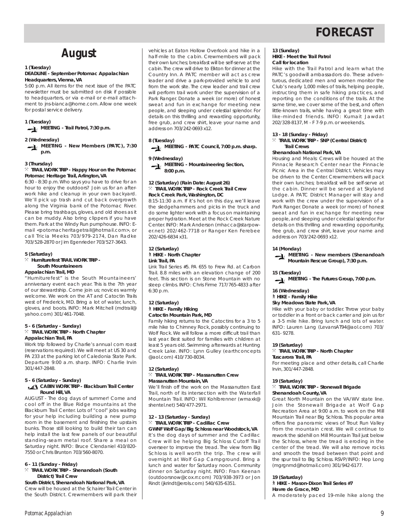## **FORECAST**

## **August**

## **1 (Tuesday)**

#### **DEADLINE - September** *Potomac Appalachian* **Headquarters, Vienna, VA**

5:00 p.m. All items for the next issue of the PATC newsletter must be submitted on disk if possible to headquarters, or via e-mail or e-mail attachment to jns-bianca@home.com. Allow one week for postal service delivery.

#### **1 (Tuesday)**

**MEETING - Trail Patrol, 7:30 p.m.**

#### **2 (Wednesday)**

**MEETING - New Members (PATC), 7:30 p.m.**

#### **3 (Thursday)**

#### $\%$  TRAIL WORK TRIP - Happy Hour on the Potomac **Potomac Heritage Trail, Arlington, VA**

6:30 - 8:30 p.m. Who says you have to drive for an hour to enjoy the outdoors? Join us for an afterwork hike and cleanup in your own backyard. We'll pick up trash and cut back overgrowth along the Virginia bank of the Potomac River. Please bring trashbags, gloves, and old shoes as it can be muddy. Also bring clippers if you have them. Park at the Windy Run pumphouse. INFO: Email <potomacheritagetrail@hotmail.com>, or call Tricia Meeks 703/979-2174, Dan Radke 703/528-2870 or Jim Egenrieder 703/527-3643.

#### **5 (Saturday)**

#### } **Humiturefest TRAIL WORK TRIP - South Mountaineers Appalachian Trail, MD**

"Humiturefest" is the South Mountaineers' anniversary event each year. This is the 7th year of our stewardship. Come join us; novices warmly welcome. We work on the AT and Catoctin Trails west of Frederick, MD. Bring a lot of water, lunch, gloves, and boots. INFO: Mark Mitchell (mdtrail@ yahoo.com) 301/461-7048.

#### **5 - 6 (Saturday - Sunday)** } **TRAIL WORK TRIP - North Chapter Appalachian Trail, PA**

Work trip followed by Charlie's annual corn roast (reservations required). We will meet at US 30 and PA 233 at the parking lot of Caledonia State Park. Departure 9:00 a.m. sharp. INFO: Charlie Irvin 301/447-2848.

#### **5 - 6 (Saturday - Sunday)**

#### **CABIN WORK TRIP - Blackburn Trail Center Round Hill, VA**

AUGUST - The dog days of summer! Come and cool off in the Blue Ridge mountains at the Blackburn Trail Center. Lots of "cool" jobs waiting for your help including building a new pump room in the basement and finishing the upstairs bunks. Those still looking to build their tan can help install the last few panels of our beautiful standing-seam metal roof. Share a meal on Saturday night. INFO: Bruce Clendaniel 410/820- 7550 or Chris Brunton 703/560-8070.

#### **6 - 11 (Sunday - Friday)**

#### } **TRAIL WORK TRIP - Shenandoah (South District) Trail Crew**

**South District, Shenandoah National Park, VA** Crew will be housed at the Schairer Trail Center in the South District. Crewmembers will park their vehicles at Eaton Hollow Overlook and hike in a half-mile to the cabin. Crewmembers will pack their own lunches; breakfast will be self-serve at the cabin. The crew will drive to Elkton for dinner at the Country Inn. A PATC member will act as crew leader and drive a park-provided vehicle to and from the work site. The crew leader and trail crew will perform trail work under the supervision of a Park Ranger. Donate a week (or more) of honest sweat and fun in exchange for meeting new people, and sleeping under celestial splendor. For details on this thrilling and rewarding opportunity, free grub, and crew shirt, leave your name and address on 703/242-0693 x12.

#### **8 (Tuesday)**

**MEETING - PATC Council, 7:00 p.m. sharp.**

#### **9 (Wednesday)**

**MEETING - Mountaineering Section, 8:00 p.m.**

#### **12 (Saturday) (Rain Date: August 26)** } **TRAIL WORK TRIP - Rock Creek Trail Crew Rock Creek Park, Washington, DC**

8:15-11:30 a.m. If it's hot on this day, we'll leave the sledgehammers and picks in the truck and do some lighter work with a focus on maintaining proper hydration. Meet at the Rock Creek Nature Center. INFO: Mark Anderson (mhacca@starpower.net) 202/462-7718 or Ranger Ken Ferebee 202/426-6834 x31.

#### **12 (Saturday)** ` **HIKE - North Chapter Link Trail, PA**

Link Trail Series #5. PA 655 to Frew Rd. at Carbon Trail. 8.8 miles with an elevation change of 200 feet. This section is on Stone Mountain with no steep climbs. INFO: Chris Firme 717/765-4833 after 6:30 p.m.

#### **12 (Saturday)** ` **HIKE - Family Hiking Catoctin Mountain Park, MD**

Family hiking returns to the Catoctins for a 3 to 5 mile hike to Chimney Rock, possibly continuing to Wolf Rock. We will follow a more difficult trail than last year. Best suited for families with children at least 5 years old. Swimming afterwards at Hunting Creek Lake. INFO: Lynn Gulley (earthconcepts @aol.com) 410/730-8034.

#### **12 (Saturday)** } **TRAIL WORK TRIP - Massanutten Crew Massanutten Mountain, VA**

We'll finish off the work on the Massanutten East Trail, north of its intersection with the Waterfall Mountain Trail. INFO: Wil Kohlbrenner (wmaxk@ shentel.net) 540/477-2971.

#### **12 - 13 (Saturday - Sunday)** } **TRAIL WORK TRIP - Cadillac Crew**

**GWNF Wolf Gap/Big Schloss near Woodstock, VA** It's the dog days of summer and the Cadillac Crew will be helping Big Schloss Cutoff Trail overseer to improve the tread. The view from Big Schloss is well worth the trip. The crew will overnight at Wolf Gap Campground. Bring a lunch and water for Saturday noon. Community dinner on Saturday night. INFO: Fran Keenan (outdoorsnow@cox.rr.com) 703/938-3973 or Jon Rindt (jkrindt@erols.com) 540/635-6351.

#### **13 (Sunday) HIKE - Meet the Trail Patrol Call for location**

Hike with the Trail Patrol and learn what the PATC's goodwill ambassadors do. These adventurous, dedicated men and women monitor the Club's nearly 1,000 miles of trails, helping people, instructing them in safe hiking practices, and reporting on the conditions of the trails. At the same time, we cover some of the best, and often little-known trails, while having a great time with like-minded friends. INFO: Kumait Jawdat 202/328-8137, M - F 7-9 p.m. or weekends.

#### **13 - 18 (Sunday - Friday)**

#### } **TRAIL WORK TRIP - SNP (Central District) Trail Crews**

#### **Shenandoah National Park, VA**

Housing and Meals: Crews will be housed at the Pinnacle Research Center near the Pinnacle Picnic Area in the Central District. Vehicles may be driven to the Center. Crewmembers will pack their own lunches; breakfast will be self-serve at the cabin. Dinner will be served at Skyland Lodge. A PATC District Manager will stay and work with the crew under the supervision of a Park Ranger. Donate a week (or more) of honest sweat and fun in exchange for meeting new people,and sleeping under celestial splendor. For details on this thrilling and rewarding opportunity, free grub, and crew shirt, leave your name and address on 703/242-0693 x12.

#### **14 (Monday)**

**MEETING - New members (Shenandoah Mountain Rescue Group), 7:30 p.m.**

**15 (Tuesday)**

**MEETING - The Futures Group, 7:00 p.m.**

## **16 (Wednesday)**

### ` **HIKE - Family Hike**

**Sky Meadows State Park, VA**

Hike with your baby or toddler. Throw your baby or toddler in a front or back carrier and join us for a 3-5 mile hike. Bring lunch and lots of water. INFO: Lauren Lang (LevansAT94@aol.com) 703/ 631- 9278.

#### **19 (Saturday)**

} **TRAIL WORK TRIP - North Chapter Tuscarora Trail, PA**

#### For meeting place and other details, call Charlie Irvin, 301/447-2848.

#### **19 (Saturday)**

#### } **TRAIL WORK TRIP - Stonewall Brigade Shenandoah County, VA**

Great North Mountain on the VA/WV state line. Join the Stonewall Brigade at Wolf Gap Recreation Area at 9:00 a.m. to work on the Mill Mountain Trail near Big Schloss. This popular area offers fine panoramic views of Trout Run Valley from the mountain crest. We will continue to rework the sidehill on Mill Mountain Trail just below the Schloss, where the tread is eroding in the center of the tread. We will also remove rocks and smooth the tread between that point and the spur trail to Big Schloss. RSVP/INFO: Hop Long (mgrgnmd@hotmail.com) 301/942-6177.

#### **19 (Saturday)**

` **HIKE - Mason-Dixon Trail Series #7 Havre de Grace, MD**

A moderately paced 19-mile hike along the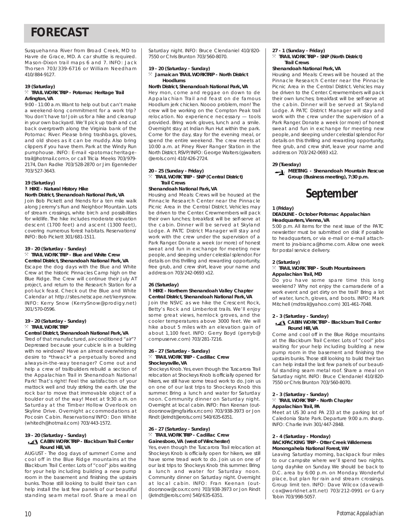## **FORECAST**

Susquehanna River from Broad Creek, MD to Havre de Grace, MD. A car shuttle is required. Mason-Dixon trail maps 6 and 7. INFO: Jack Thorsen 703/339-6716 or William Needham 410/884-9127.

#### **19 (Saturday)**

#### } **TRAIL WORK TRIP - Potomac Heritage Trail Arlington, VA**

9:00 - 11:00 a.m.Want to help out but can't make a weekend-long commitment for a work trip? You don't have to! Join us for a hike and cleanup in your own backyard. We'll pick up trash and cut back overgrowth along the Virginia bank of the Potomac River. Please bring trashbags, gloves, and old shoes as it can be muddy. Also bring clippers if you have them. Park at the Windy Run pumphouse. INFO: E-mail <potomacheritagetrail@hotmail.com>, or call Tricia Meeks 703/979- 2174, Dan Radke 703/528-2870 or Jim Egenrieder 703/527-3643.

#### **19 (Saturday)** ` **HIKE - Natural History Hike North District, Shenandoah National Park, VA**

Join Bob Pickett and friends for a ten mile walk along Jeremy's Run and Neighbor Mountain. Lots of stream crossings, white birch and possibilities for wildlife. The hike includes moderate elevation descent (1700 feet) and ascent (1300 feet), covering numerous forest habitats. Reservations/ INFO: Bob Pickett 301/681-1511.

#### **19 - 20 (Saturday - Sunday)**

#### $\%$  **TRAIL WORK TRIP - Blue and White Crew Central District, Shenandoah National Park, VA**

Escape the dog days with the Blue and White Crew at the historic Pinnacles Camp high on the Blue Ridge. The Crew will continue their July AT project, and return to the Research Station for a pot-luck feast. Check out the Blue and White .<br>Calendar at http://sites.netscape.net/kerrysnow. INFO: Kerry Snow (KerrySnow@prodigy.net) 301/570-0596.

#### **19 - 20 (Saturday - Sunday)**  $\times$  **TRAIL WORK TRIP**

#### **Central District, Shenandoah National Park, VA**

Tired of that manufactured, air-conditioned "air"? Depressed because your cubicle is in a building with no windows? Have an almost overwhelming desire to \*thwack\* a perpetually bored and always-in-the-way teenager? Come out and help a crew of trailbuilders rebuild a section of the Appalachian Trail in Shenandoah National Park! That's right! Feel the satisfaction of your mattock well and truly striking the earth. Use the rock bar to move that immovable object of a boulder out of the way! Meet at 9:30 a.m. on Saturday at the Timber Hollow Overlook on Skyline Drive. Overnight accommodations at Pocosin Cabin. Reservations/INFO: Don White (whitedh@hotmail.com) 703/443-1572.

#### **19 - 20 (Saturday - Sunday)**

#### **CABIN WORK TRIP - Blackburn Trail Center Round Hill, VA**

AUGUST - The dog days of summer! Come and cool off in the Blue Ridge mountains at the Blackburn Trail Center. Lots of "cool" jobs waiting for your help including building a new pump room in the basement and finishing the upstairs bunks. Those still looking to build their tan can help install the last few panels of our beautiful standing seam metal roof. Share a meal on Saturday night. INFO: Bruce Clendaniel 410/820- 7550 or Chris Brunton 703/560-8070.

## **19 - 20 (Saturday - Sunday)**

} **Jamaican TRAIL WORKTRIP - North District Hoodlums**

**North District, Shenandoah National Park, VA** Hey mon, come and reggae on down to de Appalachian Trail and feast on de famous Hoodlum jerk chicken. Noooo problem, mon! The crew will be working on the Compton Peak trail relocation. No experience necessary — tools provided. Bring work gloves, lunch and a smile. Overnight stay at Indian Run Hut within the park. Come for the day, stay for the evening meal, or spend the entire weekend. The crew meets at 10:00 a.m. at Piney River Ranger Station in the North District.RSVP/INFO: George Walters (gjwalters @erols.com) 410/426-2724.

### **20 - 25 (Sunday - Friday)**

 $\times$  TRAIL WORK TRIP - SNP (Central District) **Trail Crews**

#### **Shenandoah National Park, VA**

Housing and Meals: Crews will be housed at the Pinnacle Research Center near the Pinnacle Picnic Area in the Central District. Vehicles may be driven to the Center. Crewmembers will pack their own lunches; breakfast will be self-serve at the cabin. Dinner will be served at Skyland Lodge. A PATC District Manager will stay and work with the crew under the supervision of a Park Ranger. Donate a week (or more) of honest sweat and fun in exchange for meeting new people,and sleeping under celestial splendor. For details on this thrilling and rewarding opportunity, free grub, and crew shirt, leave your name and address on 703/242-0693 x12.

## **26 (Saturday)**

#### ` **HIKE - Northern Shenandoah Valley Chapter Central District, Shenandoah National Park, VA**

Join the NSVC as we hike the Crescent Rock, Betty's Rock and Limberlost trails. We'll enjoy some great views, hemlock groves, and the cooler temperatures above 3000 feet. We will hike about 5 miles with an elevation gain of about 1,100 feet. INFO: Gerry Boyd (gerryb@ compuserve.com) 703/281-7216.

#### **26 - 27 (Saturday - Sunday)** } **TRAIL WORK TRIP - Cadillac Crew Shockeysville, VA**

Shockeys Knob. Yes, even though the Tuscarora Trail relocation at Shockeys Knob is officially opened for hikers, we still have some tread work to do. Join us on one of our last trips to Shockeys Knob this summer. Bring a lunch and water for Saturday noon. Community dinner on Saturday night. Overnight at local cabin. INFO: Fran Keenan (outdoorsnow@mgfairfax.rr.com) 703/938-3973 or Jon Rindt (jkrindt@erols.com) 540/635-6351.

#### **26 - 27 (Saturday - Sunday)** } **TRAIL WORK TRIP - Cadillac Crew Gainesboro, VA (west of Winchester)**

Yes, even though the Tuscarora Trail relocation at Shockeys Knob is officially open for hikers, we still have some tread work to do. Join us on one of our last trips to Shockeys Knob this summer. Bring a lunch and water for Saturday noon. Community dinner on Saturday night. Overnight at local cabin. INFO: Fran Keenan (outdoorsnow@cox.rr.com) 703/938-3973 or Jon Rindt (jkrindt@erols.com) 540/635-6351.

#### **27 - 1 (Sunday - Friday)**

 $%$  TRAIL WORK TRIP - SNP (North District) **Trail Crews**

#### **Shenandoah National Park, VA**

Housing and Meals: Crews will be housed at the Pinnacle Research Center near the Pinnacle Picnic Area in the Central District. Vehicles may be driven to the Center. Crewmembers will pack their own lunches; breakfast will be self-serve at the cabin. Dinner will be served at Skyland Lodge. A PATC District Manager will stay and work with the crew under the supervision of a Park Ranger. Donate a week (or more) of honest sweat and fun in exchange for meeting new people,and sleeping under celestial splendor. For details on this thrilling and rewarding opportunity, free grub, and crew shirt, leave your name and address on 703/242-0693 x12.

#### **29 (Tuesday)**

**MEETING - Shenandoah Mountain Rescue Group (Business meeting), 7:30 p.m.**

## **September**

#### **1 (Friday)**

#### **DEADLINE - October** *Potomac Appalachian* **Headquarters, Vienna, VA**

5:00 p.m. All items for the next issue of the PATC newsletter must be submitted on disk if possible to headquarters, or via e-mail or e-mail attachment to jns-bianca@home.com. Allow one week for postal service delivery.

#### **2 (Saturday)**

#### } **TRAIL WORK TRIP - South Mountaineers Appalachian Trail, MD**

Do you have some spare time this long weekend? Why not enjoy the camaraderie of a work event and get dirty on the trail? Bring a lot of water, lunch, gloves, and boots. INFO: Mark Mitchell (mdtrail@yahoo.com) 301-461-7048.

#### **2 - 3 (Saturday - Sunday)**

#### **K** CABIN WORK TRIP - Blackburn Trail Center **Round Hill, VA**

Come and cool off in the Blue Ridge mountains at the Blackburn Trail Center. Lots of "cool" jobs waiting for your help including building a new pump room in the basement and finishing the upstairs bunks. Those still looking to build their tan can help install the last few panels of our beautiful standing seam metal roof. Share a meal on Saturday night. INFO: Bruce Clendaniel 410/820- 7550 or Chris Brunton 703/560-8070.

#### **2 - 3 (Saturday - Sunday)**

} **TRAIL WORK TRIP - North Chapter Appalachian Trail, PA**

Meet at US 30 and PA 233 at the parking lot of Caledonia State Park. Departure 9:00 a.m. sharp. INFO: Charlie Irvin 301/447-2848.

#### **2 - 4 (Saturday - Monday)**

#### **BACKPACKING TRIP - Otter Creek Wilderness Monongahela National Forest, WV**

Leaving Saturday morning, backpack four miles to our campsite where we'll spend two nights. Long dayhike on Sunday. We should be back to D.C. area by 6:00 p.m. on Monday. Wonderful place, but plan for rain and stream crossings. Group limit ten. INFO: Dave Wilcox (davewillcox@worldnet.att.net) 703/212-0991 or Gary Tobin 703/998-5057.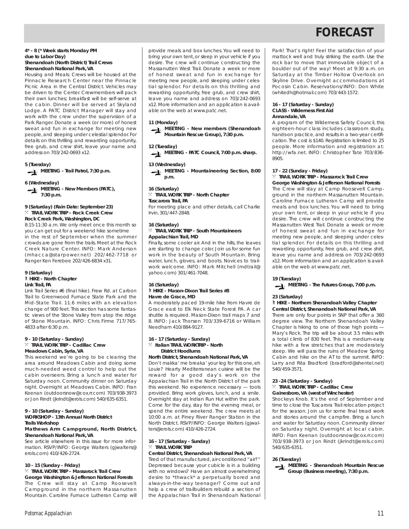## **FORECAST**

#### **4\* - 8 (\* Week starts Monday PM due to Labor Day) Shenandoah (North District) Trail Crews Shenandoah National Park, VA**

Housing and Meals: Crews will be housed at the Pinnacle Research Center near the Pinnacle Picnic Area in the Central District. Vehicles may be driven to the Center. Crewmembers will pack their own lunches; breakfast will be self-serve at the cabin. Dinner will be served at Skyland Lodge. A PATC District Manager will stay and work with the crew under the supervision of a Park Ranger. Donate a week (or more) of honest sweat and fun in exchange for meeting new people,and sleeping under celestial splendor. For details on this thrilling and rewarding opportunity, free grub, and crew shirt, leave your name and address on 703/242-0693 x12.

**5 (Tuesday)**

**MEETING - Trail Patrol, 7:30 p.m.**

#### **6 (Wednesday)**

**MEETING - New Members (PATC), 7:30 p.m.**

#### **9 (Saturday) (Rain Date: September 23)** } **TRAIL WORK TRIP - Rock Creek Crew Rock Creek Park, Washington, DC**

8:15-11:30 a.m. We only meet once this month so you can get out for a weekend hike sometime in the rest of September when the summer crowds are gone from the trails. Meet at the Rock Creek Nature Center. INFO: Mark Anderson (mhacca@starpower.net) 202/462-7718 or Ranger Ken Ferebee 202/426-6834 x31.

#### **9 (Saturday)** ` **HIKE - North Chapter Link Trail, PA**

Link Trail Series #6 (final hike). Frew Rd. at Carbon Trail to Greenwood Furnace State Park and the Mid-State Trail. 11.6 miles with an elevation change of 900 feet. This section has some fantastic views of the Stone Valley from atop the ridge of Stone Mountain. INFO: Chris Firme 717/765- 4833 after 6:30 p.m.

#### **9 - 10 (Saturday - Sunday)** } **TRAIL WORK TRIP - Cadillac Crew Meadows Cabin, Syria, VA**

This weekend we're going to be clearing the area around Meadows Cabin and doing some much-needed weed control to help out the cabin overseers. Bring a lunch and water for Saturday noon. Community dinner on Saturday night. Overnight at Meadows Cabin. INFO: Fran Keenan (outdoorsnow@cox.rr.com) 703/938-3973 or Jon Rindt (jkrindt@erols.com) 540/635-6351.

#### **9 - 10 (Saturday - Sunday) WORKSHOP - 13th Annual North District**

#### **Trails Workshop**

#### **Mathews Arm Campground, North District, Shenandoah National Park, VA**

See article elsewhere in this issue for more information. RSVP/INFO: George Walters (gjwalters@ erols.com) 410/426-2724.

#### **10 - 15 (Sunday - Friday)**

} **TRAIL WORK TRIP - Massarock Trail Crew George Washington & Jefferson National Forests**

The Crew will stay at Camp Roosevelt Campground in the northern Massanutten Mountain. Caroline Furnace Lutheran Camp will provide meals and box lunches. You will need to bring your own tent, or sleep in your vehicle if you desire. The crew will continue constructing the Massanutten West Trail. Donate a week or more of honest sweat and fun in exchange for meeting new people, and sleeping under celestial splendor. For details on this thrilling and rewarding opportunity, free grub, and crew shirt, leave you name and address on 703/242-0693 x12. More information and an application is available on the web at www.patc.net.

#### **11 (Monday)**

**MEETING - New members (Shenandoah Mountain Rescue Group), 7:30 p.m.**

#### **12 (Tuesday)**

**MEETING - PATC Council, 7:00 p.m. sharp.**

### **13 (Wednesday)**

**MEETING - Mountaineering Section, 8:00 p.m.**

#### **16 (Saturday)**

} **TRAIL WORK TRIP - North Chapter Tuscarora Trail, PA**

For meeting place and other details, call Charlie Irvin, 301/447-2848.

## **16 (Saturday)**

#### } **TRAIL WORK TRIP - South Mountaineers Appalachian Trail, MD**

Finally, some cooler air. And in the hills, the leaves are starting to change color. Join us for some fun work in the beauty of South Mountain. Bring water, lunch, gloves, and boots. Novices to trailwork welcome. INFO: Mark Mitchell (mdtrail@ yahoo.com) 301/461-7048.

#### **16 (Saturday)** ` **HIKE - Mason-Dixon Trail Series #8 Havre de Grace, MD**

A moderately paced 19-mile hike from Havre de Grace east to Elk Neck State Forest PA. A car shuttle is required. Mason-Dixon trail maps 7 and 8. INFO: Jack Thorsen 703/339-6716 or William Needham 410/884-9127.

#### **16 - 17 (Saturday - Sunday)** } **Italian TRAIL WORKTRIP - North District Hoodlums**

#### **North District, Shenandoah National Park, VA**

Don't makka' me breaka' your leg for this one, eh Louie? Hearty Mediterranean cuisine will be the reward for a good day's work on the Appalachian Trail in the North District of the park this weekend. No experience necessary — tools provided. Bring work gloves, lunch, and a smile. Overnight stay at Indian Run Hut within the park. Come for the day, stay for the evening meal, or spend the entire weekend. The crew meets at 10:00 a.m. at Piney River Ranger Station in the North District. RSVP/INFO: George Walters (gjwalters@erols.com) 410/426-2724.

#### **16 - 17 (Saturday - Sunday)**  $%$  **TRAIL WORK TRIP**

#### **Central District, Shenandoah National Park, VA**

Tired of that manufactured, air-conditioned "air?" Depressed because your cubicle is in a building with no windows? Have an almost overwhelming desire to \*thwack\* a perpetually bored and always-in-the-way teenager? Come out and help a crew of trailbuilders rebuild a section of the Appalachian Trail in Shenandoah National

Park! That's right! Feel the satisfaction of your mattock well and truly striking the earth. Use the rock bar to move that immovable object of a boulder out of the way! Meet at 9:30 a.m. on Saturday at the Timber Hollow Overlook on Skyline Drive. Overnight accommodations at Pocosin Cabin. Reservations/INFO: Don White (whitedh@hotmail.com) 703/443-1572.

#### **16 - 17 (Saturday - Sunday) CLASS - Wilderness First Aid Annandale, VA**

A program of the Wilderness Safety Council, this eighteen-hour class includes classroom study, hands-on practice, and results in a two-year certification. The cost is \$140. Registration is limited to 25 people. More information and registration at: http://wfa.net. INFO: Christopher Tate 703/836- 8905.

#### **17 - 22 (Sunday - Friday)** } **TRAIL WORK TRIP - Massarock Trail Crew**

**George Washington & Jefferson National Forests** The Crew will stay at Camp Roosevelt Campground in the northern Massanutten Mountain. Caroline Furnace Lutheran Camp will provide meals and box lunches. You will need to bring your own tent, or sleep in your vehicle if you desire. The crew will continue constructing the Massanutten West Trail. Donate a week or more of honest sweat and fun in exchange for meeting new people, and sleeping under celestial splendor. For details on this thrilling and rewarding opportunity, free grub, and crew shirt, leave you name and address on 703/242-0693 x12. More information and an application is available on the web at www.patc.net.

#### **19 (Tuesday)**

**MEETING - The Futures Group, 7:00 p.m.**

#### **23 (Saturday)**

#### ` **HIKE - Northern Shenandoah Valley Chapter Central District, Shenandoah National Park, VA**

There are only four points in SNP that offer a 360 degree view. The Northern Shenandoah Valley Chapter is hiking to one of those high points — Mary's Rock. The trip will be about 3.5 miles with a total climb of 830 feet. This is a medium-easy hike with a few stretches that are moderately steep. We will pass the ruins of Meadow Spring Cabin and hike on the AT to the summit. INFO: Larry and Rita Bradford (bradford@shentel.net) 540/459-3571.

#### **23 -24 (Saturday - Sunday)** } **TRAIL WORK TRIP - Cadillac Crew Gainesboro, VA (west of Winchester)**

Shockeys Knob. It's the end of September and time to close the Tuscarora Trail relocation project for the season. Join us for some final tread work and stories around the campfire. Bring a lunch and water for Saturday noon. Community dinner on Saturday night. Overnight at local cabin. INFO: Fran Keenan (outdoorsnow@cox.rr.com) 703/938-3973 or Jon Rindt (jkrindt@erols.com) 540/635-6351.

#### **26 (Tuesday)**

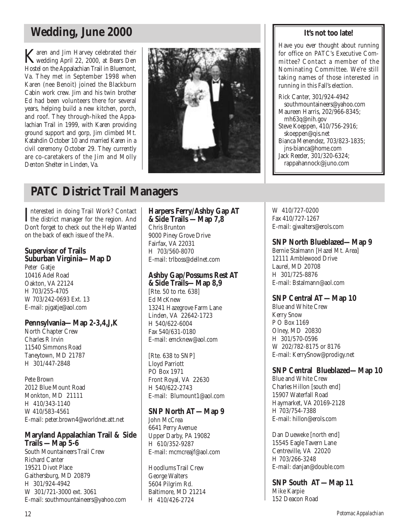## **Wedding, June 2000**

Karen and Jim Harvey celebrated their wedding April 22, 2000, at Bears Den Hostel on the Appalachian Trail in Bluemont, Va. They met in September 1998 when Karen (nee Benoit) joined the Blackburn Cabin work crew. Jim and his twin brother Ed had been volunteers there for several years, helping build a new kitchen, porch, and roof. They through-hiked the Appalachian Trail in 1999, with Karen providing ground support and gorp, Jim climbed Mt. Katahdin October 10 and married Karen in a civil ceremony October 29. They currently are co-caretakers of the Jim and Molly Denton Shelter in Linden, Va.



## **PATC District Trail Managers**

Interested in doing Trail Work? Contact<br>the district manager for the region. And the district manager for the region. And Don't forget to check out the Help Wanted on the back of each issue of the *PA.*

### **Supervisor of Trails Suburban Virginia—Map D**

Peter Gatje 10416 Adel Road Oakton, VA 22124 H 703/255-4705 W 703/242-0693 Ext. 13 E-mail: pjgatje@aol.com

## **Pennsylvania—Map 2-3,4,J,K**

North Chapter Crew Charles R Irvin 11540 Simmons Road Taneytown, MD 21787 H 301/447-2848

Pete Brown 2012 Blue Mount Road Monkton, MD 21111 H 410/343-1140 W 410/583-4561 E-mail: peter.brown4@worldnet.att.net

## **Maryland Appalachian Trail & Side Trails —Map 5-6**

South Mountaineers Trail Crew Richard Canter 19521 Divot Place Gaithersburg, MD 20879 H 301/924-4942 W 301/721-3000 ext. 3061 E-mail: southmountaineers@yahoo.com

### **Harpers Ferry/Ashby Gap AT &Side Trails —Map 7,8** Chris Brunton 9000 Piney Grove Drive Fairfax, VA 22031 H 703/560-8070

# E-mail: trlboss@dellnet.com

### **Ashby Gap/Possums Rest AT &Side Trails—Map 8,9**

[Rte. 50 to rte. 638] Ed McKnew 13241 Hazegrove Farm Lane Linden, VA 22642-1723 H 540/622-6004 Fax 540/631-0180 E-mail: emcknew@aol.com

[Rte. 638 to SNP] Lloyd Parriott PO Box 1971 Front Royal, VA 22630 H 540/622-2743 E-mail: Blumount1@aol.com

## **SNP North AT—Map 9**

John McCrea 6641 Perry Avenue Upper Darby, PA 19082 H 610/352-9287 E-mail: mcmcreajf@aol.com

Hoodlums Trail Crew George Walters 5604 Pilgrim Rd. Baltimore, MD 21214 H 410/426-2724

## **It's not too late!**

Have you ever thought about running for office on PATC's Executive Committee? Contact a member of the Nominating Committee. We're still taking names of those interested in running in this Fall's election.

Rick Canter, 301/924-4942 southmountaineers@yahoo.com Maureen Harris, 202/966-8345; mh63q@nih.gov Steve Koeppen, 410/756-2916; skoeppen@qis.net Bianca Menendez, 703/823-1835; jns-bianca@home.com Jack Reeder, 301/320-6324; rappahannock@juno.com

W 410/727-0200 Fax 410/727-1267 E-mail: gjwalters@erols.com

## **SNP North Blueblazed—Map 9**

Bernie Stalmann [Hazel Mt. Area] 12111 Amblewood Drive Laurel, MD 20708 H 301/725-8876 E-mail: Bstalmann@aol.com

## **SNP Central AT—Map 10**

Blue and White Crew Kerry Snow P O Box 1169 Olney, MD 20830 H 301/570-0596 W 202/782-8175 or 8176 E-mail: KerrySnow@prodigy.net

## **SNP Central Blueblazed—Map 10**

Blue and White Crew Charles Hillon [south end] 15907 Waterfall Road Haymarket, VA 20169-2128 H 703/754-7388 E-mail: hillon@erols.com

Dan Dueweke [north end] 15545 Eagle Tavern Lane Centreville, VA 22020 H 703/266-3248 E-mail: danjan@double.com

**SNP South AT—Map 11** Mike Karpie 152 Deacon Road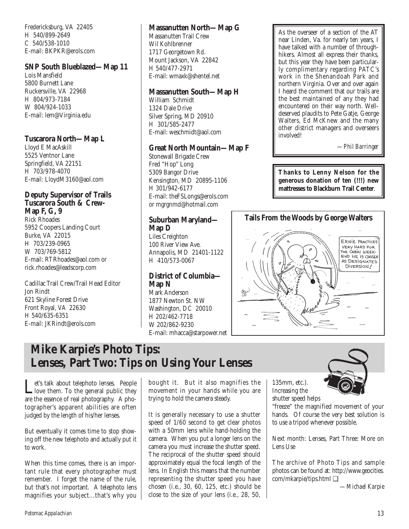Fredericksburg, VA 22405 H 540/899-2649 C 540/538-1010 E-mail: BKPKR@erols.com

## **SNP South Blueblazed—Map 11**

Lois Mansfield 5800 Burnett Lane Ruckersville, VA 22968 H 804/973-7184 W 804/924-1033 E-mail: lem@Virginia.edu

## **Tuscarora North—Map L**

Lloyd E MacAskill 5525 Ventnor Lane Springfield, VA 22151 H 703/978-4070 E-mail: LloydM3160@aol.com

### **Deputy Supervisor of Trails Tuscarora South & Crew-Map F, G, 9**

Rick Rhoades 5952 Coopers Landing Court Burke, VA 22015 H 703/239-0965 W 703/769-5812 E-mail: RTRhoades@aol.com or rick.rhoades@leadscorp.com

Cadillac Trail Crew/Trail Head Editor Jon Rindt 621 Skyline Forest Drive Front Royal, VA 22630 H 540/635-6351 E-mail: JKRindt@erols.com

## **Massanutten North—Map G**

Massanutten Trail Crew Wil Kohlbrenner 1717 Georgetown Rd. Mount Jackson, VA 22842 H 540/477-2971 E-mail: wmaxk@shentel.net

## **Massanutten South—Map H**

William Schmidt 1324 Dale Drive Silver Spring, MD 20910 H 301/585-2477 E-mail: weschmidt@aol.com

## **Great North Mountain—Map F**

Stonewall Brigade Crew Fred "Hop" Long 5309 Bangor Drive Kensington, MD 20895-1106 H 301/942-6177 E-mail: theFSLongs@erols.com or mgrgnmd@hotmail.com

## **Suburban Maryland— Map D**

Liles Creighton 100 River View Ave. Annapolis, MD 21401-1122 H 410/573-0067

## **District of Columbia— Map N**

Mark Anderson 1877 Newton St. NW Washington, DC 20010 H 202/462-7718 W 202/862-9230 E-mail: mhacca@starpower.net

As the overseer of a section of the AT near Linden, Va. for nearly ten years, I have talked with a number of throughhikers. Almost all express their thanks, but this year they have been particularly complimentary regarding PATC's work in the Shenandoah Park and northern Virginia. Over and over again I heard the comment that our trails are the best maintained of any they had encountered on their way north. Welldeserved plaudits to Pete Gatje, George Walters, Ed McKnew and the many other district managers and overseers involved!

*—Phil Barringer*

**Thanks to Lenny Nelson for the generous donation of ten (!!!) new mattresses to Blackburn Trail Center**.



## **Mike Karpie's Photo Tips: Lenses, Part Two: Tips on Using Your Lenses**

Let's talk about telephoto lenses. People<br>love them. To the general public they<br>are the general plate graphs of above are the essence of real photography. A photographer's apparent abilities are often judged by the length of his/her lenses.

But eventually it comes time to stop showing off the new telephoto and actually put it to work.

When this time comes, there is an important rule that every photographer must remember. I forget the name of the rule, but that's not important. A telephoto lens magnifies your subject...that's why you bought it. But it also magnifies the movement in your hands while you are trying to hold the camera steady.

It is generally necessary to use a shutter speed of 1/60 second to get clear photos with a 50mm lens while hand-holding the camera. When you put a longer lens on the camera you must increase the shutter speed. The reciprocal of the shutter speed should approximately equal the focal length of the lens. In English this means that the number representing the shutter speed you have chosen (i.e., 30, 60, 125, etc.) should be close to the size of your lens (i.e., 28, 50,

135mm, etc.). Increasing the shutter speed helps

"freeze" the magnified movement of your hands. Of course the very best solution is to use a tripod whenever possible.

Next month: Lenses, Part Three: More on Lens Use

The archive of Photo Tips and sample photos can be found at: http://www.geocities. com/mkarpie/tips.html ❑

*—Michael Karpie*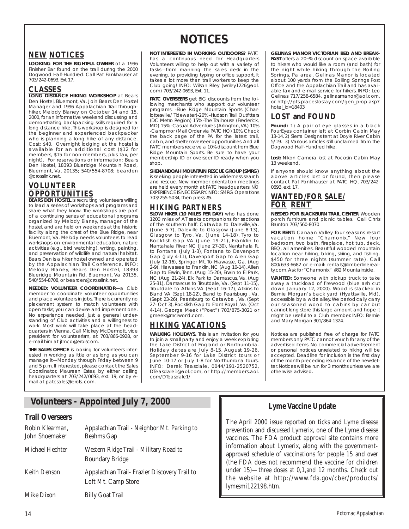## **NEW NOTICES**

**LOOKING FOR THE RIGHTFUL OWNER** of a 1996 Finisher Bar found on the trail during the 2000 Dogwood Half-Hundred. Call Pat Fankhauser at 703/242-0693, Ext 17.

## **CLASSES**

**LONG DISTANCE HIKING WORKSHOP** at Bears Den Hostel, Bluemont, Va. Join Bears Den Hostel Manager and 1996 Appalachian Trail throughhiker, Melody Blaney on October 14 and 15, 2000, for an informative weekend discussing and demonstrating backpacking skills required for a long distance hike. This workshop is designed for the beginner and experienced backpacker who is planning a long hike of any distance. Cost: \$40. Overnight lodging at the hostel is available for an additional cost (\$12 for members, \$15 for non-members, plus tax, per night). For reservations or information: Bears Den Hostel, 18393 Blueridge Mountain Road, Bluemont, Va. 20135; 540/554-8708; bearden @crosslink.net.

## **VOLUNTEER OPPORTUNITIES**

**BEARS DEN HOSTEL** is recruiting volunteers willing to lead a series of workshops and programs and share what they know. The workshops are part of a continuing series of educational programs organized by Melody Blaney, manager of the hostel, and are held on weekends at the historic facility along the crest of the Blue Ridge, near Bluemont, Va. Melody needs volunteers to lead workshops on environmental education, nature activities (e.g., bird watching), writing, painting, and preservation of wildlife and natural habitat. Bears Den is a hiker hostel owned and operated by the Appalachian Trail Conference. INFO: Melody Blaney, Bears Den Hostel, 18393 Blueridge Mountain Rd, Bluemont, Va 20135, 540/554-8708, or bearden@crosslink.net.

**NEEDED: VOLUNTEER COORDINATOR—**a Club member to coordinate volunteer opportunities and place volunteers in jobs. There is currently no placement system to match volunteers with open tasks; you can devise and implement one. No experience needed, just a general understanding of Club activities and a willingness to work. Most work will take place at the headquarters in Vienna. Call Mickey McDermott, vice president for volunteerism, at 703/866-0928, or e-mail him at jtmcd@erolscom.

**THE SALES OFFICE** is looking for volunteers interested in working as little or as long as you can manage it—Monday through Friday between 9 and 5 p.m. If interested, please contact the Sales Coordinator, Maureen Estes, by either calling headquarters at 703/242/0693, ext. 19, or by email at patcsales@erols. com.

## **NOTICES**

**NOT INTERESTED IN WORKING OUTDOORS?** PATC has a continuous need for Headquarters Volunteers willing to help out with a variety of tasks—from manning the sales desk in the evening, to providing typing or office support. It takes a lot more than trail workers to keep the Club going! INFO: Wilson Riley (wriley1226@aol. com) 703/242-0693, Ext. 11.

**PATC OVERSEERS** get BIG discounts from the following merchants who support our volunteer programs: -Blue Ridge Mountain Sports (Charlottesville/ Tidewater)-20% -Hudson Trail Outfitters (DC Metro Region) 15% -The Trailhouse (Frederick, MD) 15% -Casual Adventures (Arlington, VA) 10% -Campmor (Mail Order via PATC HQ) 10%. Check the back page of the PA for the latest trail, cabin,and shelter overseer opportunities.And all PATC members receive a 10% discount from Blue Ridge Mountain Sports. Be sure to have your membership ID or overseer ID ready when you shop.

#### **SHENANDOAH MOUNTAIN RESCUE GROUP (SMRG)** is seeking people interested in wilderness search and rescue. New member orientation meetings are held every month at PATC headquarters. NO EXPERIENCE IS NECESSARY.INFO: SMRG Operations 703/255-5034, then press #5.

## **HIKING PARTNERS SLOW HIKER (10 MILES PER DAY)** who has done

1200 miles of AT seeks companions for sections of the southern half: Catawba to Daleville,Va. (June 5-7), Daleville to Glasgow (June 8-13), Glasgow to Tyro, Va. (June 14-18), Tyro to Rockfish Gap VA (June 19-21), Franklin to Nantahala River NC (June 27-30), Nantahala R. to Fontana (July 1-3), Fontana to Davenport Gap (July 4-11), Davenport Gap to Allen Gap (July 12-16), Springer Mt. To Hiawasse, Ga. (Aug 2-9), Hiawassee to Franklin, NC (Aug 10-14), Allen Gap to Erwin, Tenn. (Aug 15-20), Erwin to El Park, NC (Aug 21-24), Elk Park to Damascus, Va. (Aug 25-31), Damascus to Troutdale, Va. (Sept 11-15), Troutdale to Atkins VA (Sept 16-17), Atkins to Bland VA (Sept 18-22), Bland to Pearisburg , Va. (Sept 23-26), Pearisburg to Catawba , Va. (Sept 27- Oct 3), Rockfish Gap to Front Royal , Va. (Oct 4-14). George Meek ("Poet") 703/875-3021 or gmeek@mciworld.com.

## **HIKING VACATIONS**

**WALKING HOLIDAYS.** This is an invitation for you to join a small party and enjoy a week exploring the Lake District of England or Northumbria. Holiday dates are July 8-15, August 19-26, September 9-16 for Lake District tours or June 10-17 or July 1-8 for Northumbria tours. INFO: Derek Teasdale, 0044/191-2520752, DTeasdale1@aol.com, or http://members.aol. com/DTeasdale1/

#### **GELINAS MANOR VICTORIAN BED AND BREAK-**

**FAST** offers a 20+% discount on space available to hikers who would like a room (and bath) for the night while hiking through the Boiling Springs, Pa area. Gelinas Manor is located about 100 yards from the Boiling Springs Post Office and the Appalachian Trail and has available fax and e-mail service for hikers. INFO: Leo Gelinas 717/258-6584, gelinasmanor@aol.com, or http://pts.placestostay.com/gen\_prop.asp? hotel\_id=18403

## **LOST and FOUND**

**Found:** 1) A pair of eye glasses in a black FourEyes container left at Corbin Cabin May 13-14. 2) Sierra Designs tent at Doyle River Cabin 5/19. 3) Various articles still unclaimed from the Dogwood Half-Hundred hike.

**Lost:** Nikon Camera lost at Pocosin Cabin May 13 weekend.

If anyone should know anything about the above articles lost or found, then please contact Pat Fankhauser at PATC HQ, 703/242- 0693, ext. 17.

## **WANTED/FOR SALE/ FOR RENT**

**NEEDED FOR BLACKBURN TRAIL CENTER**. Wooden porch furniture and picnic tables. Call Chris Brunton 703/560-8070

**FOR RENT:** Canaan Valley four seasons resort vacation home "Chamonix." New four bedroom, two bath, fireplace, hot tub, deck, BBQ, all amenities. Beautiful wooded mountain location near hiking, biking, skiing, and fishing. \$450 for three nights (summer rate). Call 800/633-6682 or e-mail: rentals@timberlinerealty.com.Ask for "Chamonix" #82 Mountainside.

**WANTED:** Someone with pickup truck to take away a truckload of firewood (blue ash cut down January 12, 2000). Wood is stacked in Bernie Morgan's back yard (Hyattsville, Md), accessible by a wide alley.We periodically carry our seasoned wood to cabins by car but cannot long store this large amount and hope it might be useful to a Club member. INFO: Bernie and Mary Morgan 301/864-1324.

*Notices are published free of charge for PATC members only. PATC cannot vouch for any of the advertised items. No commercial advertisement or personal notices unrelated to hiking will be accepted. Deadline for inclusion is the first day of the month preceding issuance of the newsletter. Notices will be run for 3 months unless we are otherwise advised.*

## **Volunteers - Appointed July 7, 2000**

## **Trail Overseers**

| Robin Klearman,<br>John Shoemaker | Appalachian Trail - Neighbor Mt. Parking to<br><b>Beahms Gap</b>     |
|-----------------------------------|----------------------------------------------------------------------|
| Michael Hechter                   | Western Ridge Trail - Military Road to<br><b>Boundary Bridge</b>     |
| <b>Keith Denson</b>               | Appalachian Trail- Frazier Discovery Trail to<br>Loft Mt. Camp Store |
| Mike Dixon                        | <b>Billy Goat Trail</b>                                              |

## **Lyme Vaccine Update**

The April 2000 issue reported on ticks and Lyme disease prevention and discussed Lymerix, one of the Lyme disease vaccines. The FDA product approval site contains more information about Lymerix, along with the governmentapproved schedule of vaccinations for people 15 and over (the FDA does not recommend the vaccine for children under 15)—three doses at 0,1,and 12 months. Check out the website at http://www.fda.gov/cber/products/ lymesmi122198.htm.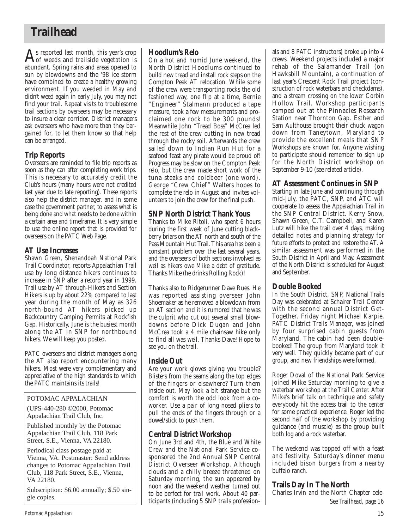## **Trailhead**

 $\mathbf{A}$ s reported last month, this year's crop<br>of weeds and trailside vegetation is abundant. Spring rains and areas opened to sun by blowdowns and the '98 ice storm have combined to create a healthy growing environment. If you weeded in May and didn't weed again in early July, you may not find your trail. Repeat visits to troublesome trail sections by overseers may be necessary to insure a clear corridor. District managers ask overseers who have more than they bargained for, to let them know so that help can be arranged.

## **Trip Reports**

Overseers are reminded to file trip reports as soon as they can after completing work trips. This is necessary to accurately credit the Club's hours (many hours were not credited last year due to late reporting). These reports also help the district manager, and in some case the government partner, to assess what is being done and what needs to be done within a certain area and timeframe. It is very simple to use the online report that is provided for overseers on the PATC Web Page.

## **AT Use Increases**

Shawn Green, Shenandoah National Park Trail Coordinator, reports Appalachian Trail use by long distance hikers continues to increase in SNP after a record year in 1999. Trail use by AT through-Hikers and Section Hikers is up by about 22% compared to last year during the month of May as 326 north-bound AT hikers picked up Backcountry Camping Permits at Rockfish Gap. Historically, June is the busiest month along the AT in SNP for northbound hikers. We will keep you posted.

PATC overseers and district managers along the AT also report encountering many hikers. Most were very complementary and appreciative of the high standards to which the PATC maintains its trails!

## POTOMAC APPALACHIAN

(UPS-440-280 ©2000, Potomac Appalachian Trail Club, Inc.

Published monthly by the Potomac Appalachian Trail Club, 118 Park Street, S.E., Vienna, VA 22180.

Periodical class postage paid at Vienna, VA. Postmaster: Send address changes to Potomac Appalachian Trail Club, 118 Park Street, S.E., Vienna, VA 22180.

Subscription: \$6.00 annually; \$.50 single copies.

## **Hoodlum's Relo**

On a hot and humid June weekend, the North District Hoodlums continued to build new tread and install rock steps on the Compton Peak AT relocation. While some of the crew were transporting rocks the old fashioned way, one flip at a time, Bernie "Engineer" Stalmann produced a tape measure, took a few measurements and proclaimed one rock to be 300 pounds! Meanwhile John "Tread Boss" McCrea led the rest of the crew cutting in new tread through the rocky soil. Afterwards the crew sailed down to Indian Run Hut for a seafood feast any pirate would be proud of! Progress may be slow on the Compton Peak relo, but the crew made short work of the tuna steaks and coldbeer (one word). George "Crew Chief" Walters hopes to complete the relo in August and invites volunteers to join the crew for the final push.

## **SNP North District Thank Yous**

Thanks to Mike Ritoli, who spent 6 hours during the first week of June cutting blackberry briars on the AT north and south of the Pass Mountain Hut Trail. This area has been a constant problem over the last several years, and the overseers of both sections involved as well as hikers owe Mike a debt of gratitude. Thanks Mike (he drinks Rolling Rock)!

Thanks also to Ridgerunner Dave Rues. He was reported assisting overseer John Shoemaker as he removed a blowdown from an AT section and it is rumored that he was the culprit who cut out several small blowdowns before Dick Dugan and John McCrea took a 4 mile chainsaw hike only to find all was well. Thanks Dave! Hope to see you on the trail.

## **Inside Out**

Are your work gloves giving you trouble? Blisters from the seams along the top edges of the fingers or elsewhere? Turn them inside out. May look a bit strange but the comfort is worth the odd look from a coworker. Use a pair of long nosed pliers to pull the ends of the fingers through or a dowel/stick to push them.

## **Central District Workshop**

On June 3rd and 4th, the Blue and White Crew and the National Park Service cosponsored the 2nd Annual SNP Central District Overseer Workshop. Although clouds and a chilly breeze threatened on Saturday morning, the sun appeared by noon and the weekend weather turned out to be perfect for trail work. About 40 participants (including 5 SNP trails professionals and 8 PATC instructors) broke up into 4 crews. Weekend projects included a major rehab of the Salamander Trail (on Hawksbill Mountain), a continuation of last year's Crescent Rock Trail project (construction of rock waterbars and checkdams), and a stream crossing on the lower Corbin Hollow Trail. Workshop participants camped out at the Pinnacles Research Station near Thornton Gap. Esther and Sam Aulthouse brought their chuck wagon down from Taneytown, Maryland to provide the excellent meals that SNP Workshops are known for. Anyone wishing to participate should remember to sign up for the North District workshop on September 9-10 (see related article).

## **AT Assessment Continues in SNP**

Starting in late June and continuing through mid-July, the PATC, SNP, and ATC will cooperate to assess the Appalachian Trail in the SNP Central District. Kerry Snow, Shawn Green, C.T. Campbell, and Karen Lutz will hike the trail over 4 days, making detailed notes and planning strategy for future efforts to protect and restore the AT. A similar assessment was performed in the South District in April and May. Assessment of the North District is scheduled for August and September.

## **Double Booked**

In the South District, SNP, National Trails Day was celebrated at Schairer Trail Center with the second annual District Get-Together. Friday night Michael Karpie, PATC District Trails Manager, was joined by four surprised cabin guests from Maryland. The cabin had been doublebooked! The group from Maryland took it very well. They quickly became part of our group, and new friendships were formed.

Roger Doval of the National Park Service joined Mike Saturday morning to give a waterbar workshop at the Trail Center. After Mike's brief talk on technique and safety everybody hit the access trail to the center for some practical experience. Roger led the second half of the workshop by providing guidance (and muscle) as the group built both log and a rock waterbar.

The weekend was topped off with a feast and festivity. Saturday's dinner menu included bison burgers from a nearby buffalo ranch.

## **Trails Day In The North**

Charles Irvin and the North Chapter cele-*See Trailhead, page 16*